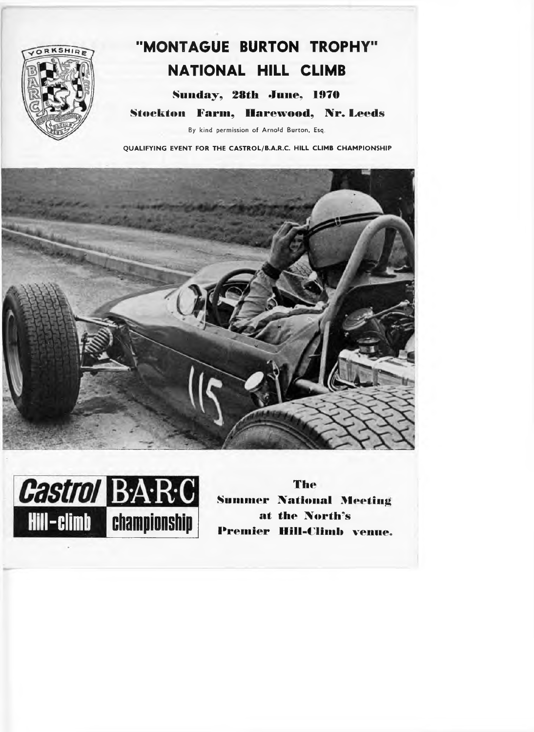

# "MONTAGUE BURTON TROPHY" NATIONAL HILL CLIMB

Sunday, 28th June, 1970 **Stockton Farm, Harewood, Nr. Leeds** By kind permission of Arnold Burton, Esq.

QUALIFYING EVENT FOR THE CASTROL/B.A.R.C. HILL CLIMB CHAMPIONSHIP





**The Summer National Meeting** at the North's **Premier Hill-Climb venue.**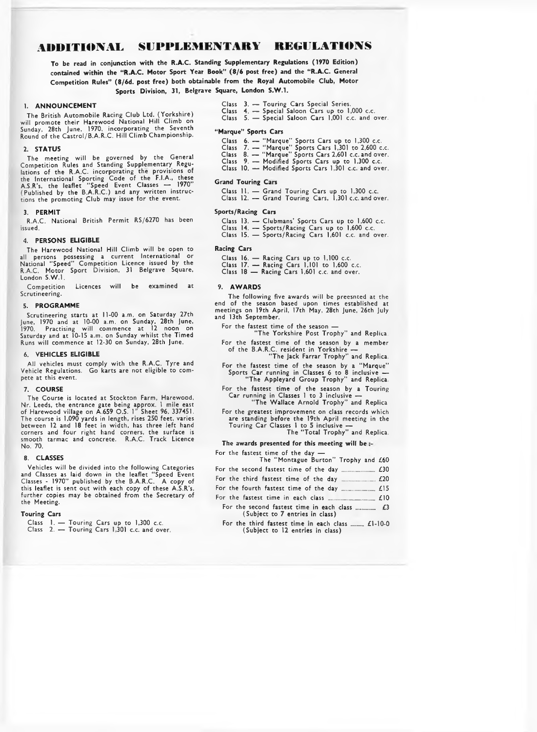## **ADDITIONAL SUPPLEMENTARY REGULATIONS**

To be read in conjunction with the R.A.C. Standing Supplementary Regulations (1970 Edition) **contained within the "R.A.C. Motor Sport Year Book" (8/6 post free) and the "R.A.C. General Competition Rules" (8/6d. post free) both obtainable from the Royal Automobile Club, Motor Sports Division, 31, Belgrave Square, London S.W.1.**

#### **1. ANNOUNCEMENT**

The British Automobile Racing Club Ltd. (Yorkshire) will promote their Harewood National Hill Climb on Sunday, 28th June, 1970, incorporating the Seventh Round of the Castrol/B.A.R.C. Hill Climb Championship.

#### **2. STATUS**

The meeting will be governed by the General Competition Rules and Standing Supplementary Regulations of the R.A.C. incorporating the provisions of<br>the International Sporting Code of the F.I.A., these<br>A.S.R's, the leaflet "Speed Event Classes — 1970"<br>(Published by the B.A.R.C.) and any written instructions the promoting Club may issue for the event.

#### **3. PERMIT**

R.A.C. National British Permit RS/6270 has been issued.

#### **4. PERSONS ELIGIBLE**

The Harewood National Hill Climb will be open to all persons possessing a current International or National "Speed" Competition Licence issued by the R.A.C. Motor Sport Division, 31 Belgrave Square, London S.W.).

Competition Licences will be examined at Scrutineering.

#### 5. PROGRAMME

Scrutineering starts at 11-00 a.m. on Saturday 27th June, 1970 and at 10-00 a.m. on Sunday, 28th June, 1970. Practising will commence at 12 noon on Saturday and at 10-15 a.m. on Sunday whilst the Timed Runs will commence at 12-30 on Sunday, 28th June.

#### **6**. **VEHICLES ELIGIBLE**

All vehicles must comply with the R.A.C. Tyre and Vehicle Regulations. Go karts are not eligible to compete at this event.

7. **COURSE**<br>The Course is located at Stockton Farm, Harewood, The Course is located at Stockton Farm, Harewood, Nr. Leeds, the entrance gate being approx. 1 mile east of Harewood village on A.659 O.S. 1" Sheet 96. 337451. The course is 1,090 yards in length, rises 250 feet, varies between 12 and 18 feet in width, has three left hand corners and four right hand corners, the surface is smooth tarmac and concrete. R.A.C. Track Licence No. 70.

#### **8. CLASSES**

Vehicles will be divided into the following Categories and Classes as laid down in the leaflet "Speed Event Classes - 1970" published by the B.A.R.C. A copy of this leaflet is sent out with each copy of these A.S.R's, further copies may be obtained from the Secretary of the Meeting.

#### **Touring Cars**

- Class 1. Touring Cars up to 1,300 c.c. Class 2. Touring Cars 1,301 c.c. and over.
- 
- Class 3. Touring Cars Special Series.
- Class 4. Special Saloon Cars up to 1,000 c.c. Class 5. Special Saloon Cars 1,001 c.c. and over.
- 

#### **"Marque" Sports Cars**

- Class 6. "Marque" Sports Cars up to 1,300 c.c.
	-
- Class 7. "Marque" Sports Cars 1,301 to 2,600 c.c. Class 8. "Marque" Sports Cars 2,601 c.c. and over. Class 9. — Modified Sports Cars up to 1,300 c.c.
- Class 10. Modified Sports Cars 1,301 c.c. and over.

#### **Grand Touring Cars**

Class 11. — Grand Touring Cars up to 1,300 c.c. Class 12. — Grand Touring Cars, 1,301 c.c. and over.

### **Sports/Racing Cars**

- 
- Class 13. Clubmans' Sports Cars up to 1,600 c.c. Class 14. Sports/Racing Cars up to 1,600 c.c. Class 15. Sports/Racing Cars 1,601 c.c. and over.

#### **Racing Cars**

- 
- Class 16. Racing Cars up to 1,100 c.c.<br>Class 17. Racing Cars 1,101 to 1,600 c.c.<br>Class 18 Racing Cars 1,601 c.c. and over.
- 

#### **9. A W A R D S**

The following five awards will be preesnted at the end of the season based upon times established at meetings on 19th April, 17th May, 28th June, 26th July and 13th September.

For the fastest time of the season -

- "The Yorkshire Post Trophy" and Replica. For the fastest time of the season by a member of the B.A.R.C. resident in Yorkshire —
- "The Jack Farrar Trophy" and Replica. For the fastest time of the season by a "Marque"
- Sports Car running in Classes 6 to 8 inclusive "The Appleyard Group Trophy" and Replica.
- For the fastest time of the season by a Touring Car running in Classes 1 to 3 inclusive -"The Wallace Arnold Trophy" and Replica
- For the greatest improvement on class records which are standing before the 19th April meeting in the Touring Car Classes 1 to 5 inclusive —
	- The "Total Trophy" and Replica.

#### **The awards presented for this meeting will be**

| For the fastest time of the day —    |  |
|--------------------------------------|--|
| The "Montague Burton" Trophy and £60 |  |
|                                      |  |
|                                      |  |
|                                      |  |
|                                      |  |
|                                      |  |
| (Subject to 7 entries in class)      |  |
|                                      |  |

For the third fastest time in each class ...... £1-10-0 (Subject to 12 entries in class)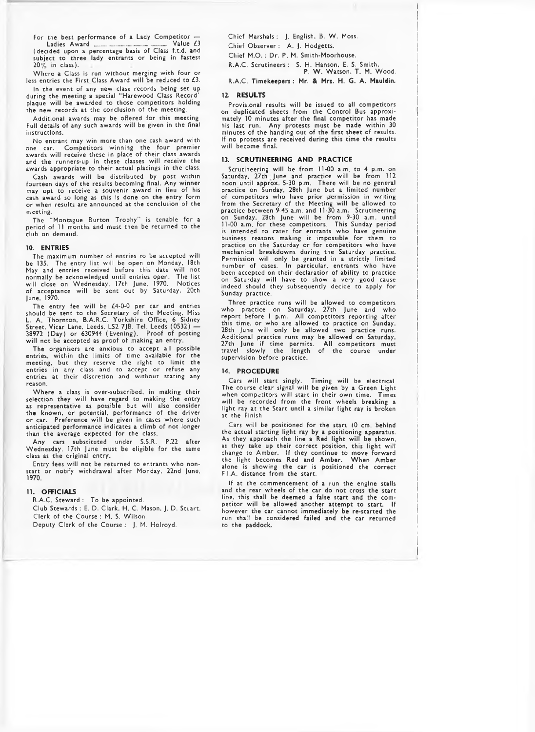For the best performance of a Lady Competitor  $-$ <br>Ladies Award  $\frac{1}{\sqrt{2}}$  Value £3 Ladies Award ................................ Value £3 (decided upon a percentage basis of Class f.t.d. and

subject to three lady entrants or being in fastest  $20\%$  in class). Where a Class is run without merging with four or

less entries the First Class Award will be reduced to £3.

In the event of any new class records being set up during the meeting a special "Harewood Class Record' plaque will be awarded to those competitors holding the new records at the conclusion of the meeting.

Additional awards may be offered for this meeting Full details of any such awards will be given in the final instructions.

No entrant may win more than one cash award with one car. Competitors winning the four premier awards will receive these in place of their class awards and the runners-up in these classes will receive the awards appropriate to their actual placings in the class.

Cash awards will be distributed by post within fourteen days of the results becoming final. Any winner may opt to receive a souvenir award in lieu of his cash award so long as this is done on the entry form or when results are announced at the conclusion of the meeting.

The "Montague Burton Trophy" is tenable for a period of 11 months and must then be returned to the club on demand.

#### **10. ENTRIES**

The maximum number of entries to be accepted will be 135. The entry list will be open on Monday, 18th May and entries received before this date will not normally be acknowledged until entries open. The list will close on Wednesday, 17th June, 1970. Notices of acceptance will be sent out by Saturday, 20th June, 1970.

The entry fee will be £4-0-0 per car and entries should be sent to the Secretary of the Meeting, Miss L. A. Thornton, B.A.R.C. Yorkshire Office, 6 Sidney Street, Vicar Lane, Leeds, LS2 7JB. Tel. Leeds (0532) — 38972 (Day) or 630944 (Evening). Proof of posting will not be accepted as proof of making an entry.

The organisers are anxious to accept all possible entries, within the limits of time available for the meeting, but they reserve the right to limit the entries in any class and to accept or refuse any entries at their discretion and without stating any reason.

Where a class is over-subscribed, in making their selection they will have regard to making the entry as representative as possible but will also consider the known, or potential, performance of the driver or car. Preference will be given in cases where such anticipated performance indicates a climb of not longer than the average expected for the class.

Any cars substituted under S.S.R. P.22 after Wednesday, 17th June must be eligible for the same class as the original entry.

Entry fees will not be returned to entrants who nonstart or notify withdrawal after Monday, 22nd June, 1970.

#### **11. OFFICIALS**

R.A.C. Steward : To be appointed. Club Stewards : E. D. Clark, H. C. Mason, J. D. Stuart. Clerk of the Course : M. S. Wilson. Deputy Clerk of the Course ; J. M. Holroyd.

Chief Marshals : J. English, B. W. Moss.

Chief Observer : A. J. Hodgetts.

Chief M.O.: Dr. P. M. Smith-Moorhouse.

R.A.C. Scrutineers : S. H. Hanson, E. S. Smith,

P. W , Watson, I . M. W ood. R.A.C. **Timekeepers: Mr. & Mri. H, G. A. Mkuldin.**

#### **12. RESULTS**

Provisional results will be issued to all competitors on duplicated sheets from the Control Bus approximately 10 minutes after the final competitor has made his last run. Any protests must be made within 30 minutes of the handing out of the first sheet of results. If no protests are received during this time the results will become final.

#### **13. SCRUTINEERING AND PRACTICE**

Scrutineering will be from 11-00 a.m. to 4 p.m. on Saturday, 27th June and practice will be from 112 noon until approx. 5-30 p.m. There will be no general practice on Sunday, 28th June but a limited number of competitors who have prior permission in writing from the Secretary of the Meeting will be allowed to practice between 9-45 a.m. and 11-30 a.m. Scrutineering on Sunday, 28th June will be from 9-30 a.m. until 11-00 a.m. for these competitors. This Sunday period is intended to cater for entrants who have genuine business reasons making it impossible for them to practice on the Saturday or for competitors who have mechanical breakdowns during the Saturday practice. Permission will only be granted in a strictly limited number of cases. In particular, entrants who have been accepted on their declaration of ability to practice on Saturday will have to show a very good cause indeed should they subsequently decide to apply for Sunday practice.

Three practice runs will be allowed to competitors who practice on Saturday, 27th June and who report before 1 p.m. All competitors reporting after this time, or who are allowed to practice on Sunday, 28th June will only be allowed two practice runs. Additional practice runs may be allowed on Saturday, 27th June if time permits. All competitors must travel slowly the length of the course under supervision before practice.

#### **14. PROCEDURE**

Cars will start singly. Timing will be electrical The course clear signal will be given by a Green Light when competitors will start in their own time. Times will be recorded from the front wheels breaking a light ray at the Start until a similar light ray is broken at the Finish.

Cars will be positioned for the start (0 cm. behind the actual starting light ray by **a** positioning apparatus. As they approach the line **a** Red light will be shown, as they take up their correct position, this light will change to Amber. If they continue to move forward the light becomes Red and Amber. W hen Amber alone is showing the car is positioned the correct F.I.A. distance from the start.

If at the commencement of a run the engine stalls and the rear wheels of the car do not cross the start line, this shall be deemed a false start and the com-<br>petitor will be allowed another attempt to start. If petitor will be allowed another attempt to start. however the car cannot immediately be re-started the run shall be considered failed and the car returned to the paddock.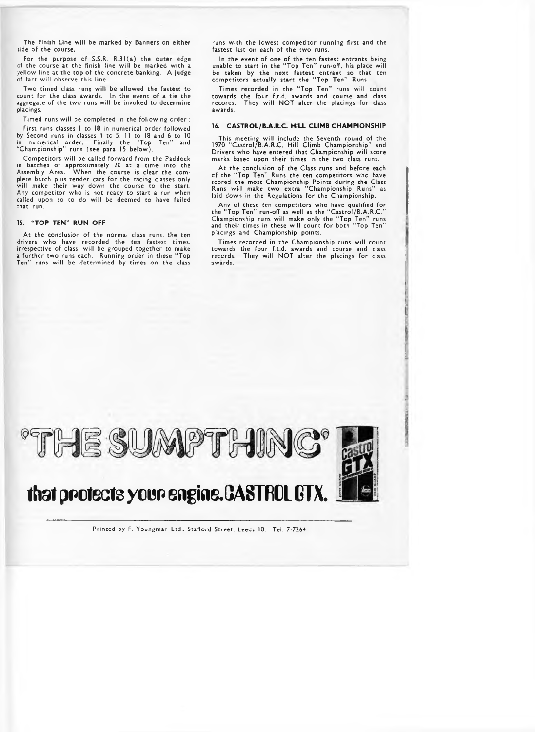The Finish Line will be marked by Banners on either side of the course.

For the purpose of S.S.R. R.31(a) the outer edge of the course at the finish line will be marked with a yellow line at the top of the concrete banking. A judge of fact will observe this line.

Two timed class runs will be allowed the fastest to count for the class awards. In the event of a tie the aggregate of the two runs will be invoked to determine placings.

Timed runs will be completed in the following order ;

First runs classes 1 to 18 in numerical order followed by Second runs in classes 1 to 5, 11 to 18 and 6 to 10 in numerical order. Finally the "Top Ten" and "Championship" runs (see para 15 below).

Competitors will be called forward from the Paddock in batches of approximately 20 at a time into the Assembly Area. W hen the course is clear the complete batch plus tender cars for the racing classes only will make their way down the course to the start. Any competitor who is not ready to start a run when called upon so to do will be deemed to have failed that run.

#### **15. "TOP TEN" RUN OFF**

At the conclusion of the normal class runs, the ten drivers who have recorded the ten fastest times, irrespective of class, will be grouped together to make a further two runs each. Running order in these "Top Ten" runs will be determined by times on the class

runs with the lowest competitor running first and the fastest last on each of the two runs.

In the event of one of the ten fastest entrants being unable to start in the "Top Ten" run-off, his place will be taken by the next fastest entrant so that ten competitors actually start the "Top Ten" Runs.

Times recorded in the "Top Ten" runs will count towards the four f.t.d. awards and course and class<br>records. They will NOT alter the placings for class awards.

#### 16. CASTROL/B.A.R.C. HILL CLIMB CHAMPIONSHIP

This meeting will include the Seventh round of the 1970 "Castrol/B.A.R.C. Hill Climb Championship" and Drivers who have entered that Championship will score marks based upon their times in the two class runs.

At the conclusion of the Class runs and before each<br>of the "Top Ten" Runs the ten competitors who have of the "Top Ten" Runs the ten competitors who have scored the most Championship Points during the Class Runs will make two extra "Championship Runs" as hans with make the extra emaniphonomic realistics.

Any of these ten competitors who have qualified for<br>the "Top Ten" run-off as well as the "Castrol/B.A.R.C."<br>Championship runs will make only the "Top Ten" runs<br>and their times in these will count for both "Top Ten" placings and Championship points.

Times recorded in the Championship runs will count towards the four f.t.d. awards and course and class records. They will NOT alter the placings for class awards.



Printed by F. Youngman Ltd.. Stafford Street. Leeds 10. Tel. 7-7264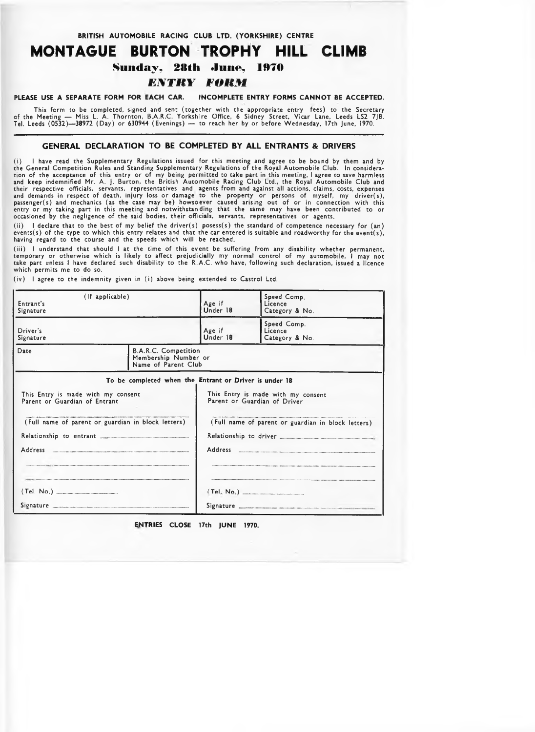**BRITISH AUTOMOBILE RACING CLUB LTD. (YORKSHIRE) CENTRE** 

## **MONTAGUE BURTON TROPHY HILL CLIMB Sunday , 28th June, 1970** *EXTRY FORM*

PLEASE USE A SEPARATE FORM FOR EACH CAR. INCOMPLETE ENTRY FORMS CANNOT BE ACCEPTED.

This form to be completed, signed and sent (together with the appropriate entry fees) to the Secretary<br>of the Meeting — Miss L. A. Thornton, B.A.R.C. Yorkshire Office, 6 Sidney Street, Vicar Lane, Leeds LS2 7JB.<br>.Tel. Leed

#### **GENERAL DECLARATION TO BE COMPLETED BY ALL ENTRANTS & DRIVERS**

(i) I have read the Supplementary Regulations issued for this meeting and agree to be bound by them and by the General Competition Rules and Standing Supplementary Regulations of the Royal Automobile Club. In considera<br>tion of the acceptance of this entry or of my being permitted to take part in this meeting, I agree to save ha and keep indemnified Mr. A. J. Burton, the British Automobile Racing Club Ltd., the Royal Automobile Club and their respective officials, servants, representatives and agents from and against all actions, claims, costs, expenses<br>and demands in respect of death, injury loss or damage to the property or persons of myself, my driver( occasioned by the negligence of the said bodies, their officials, servants, representatives or agents.

(ii) I declare that to the best of my belief the driver(s) posess(s) the standard of competence necessary for (an) events(s) of the type to which this entry relates and that the car entered is suitable and roadworthy for the event(s), having regard to the course and the speeds which will be reached.

(iii) I understand that should I at the time of this event be suffering from any disability whether permanent, temporary or otherwise which is likely to affect prejudicially my normal control of my automobile, I may not<br>take part unless I have declared such disability to the R.A.C. who have, following such declaration, issued a lic which permits me to do so.

(iv) I agree to the indemnity given in (i) above being extended to Castrol Ltd.

| (If applicable)<br>Entrant's<br>Signature                           |                                                                            | Age if<br>Under 18                                                 | Speed Comp.<br>Licence<br>Category & No.           |  |  |
|---------------------------------------------------------------------|----------------------------------------------------------------------------|--------------------------------------------------------------------|----------------------------------------------------|--|--|
| Driver's<br>Signature                                               |                                                                            | Age if<br>Under 18                                                 | Speed Comp.<br>Licence<br>Category & No.           |  |  |
| Date                                                                | <b>B.A.R.C. Competition</b><br>Membership Number or<br>Name of Parent Club |                                                                    |                                                    |  |  |
|                                                                     | To be completed when the Entrant or Driver is under 18                     |                                                                    |                                                    |  |  |
| This Entry is made with my consent<br>Parent or Guardian of Entrant |                                                                            | This Entry is made with my consent<br>Parent or Guardian of Driver |                                                    |  |  |
| (Full name of parent or guardian in block letters)                  |                                                                            |                                                                    | (Full name of parent or guardian in block letters) |  |  |
|                                                                     |                                                                            |                                                                    |                                                    |  |  |
| Address                                                             |                                                                            | <b>Address</b>                                                     |                                                    |  |  |
|                                                                     |                                                                            |                                                                    |                                                    |  |  |
|                                                                     |                                                                            |                                                                    |                                                    |  |  |
| Signature                                                           |                                                                            |                                                                    |                                                    |  |  |

**ENTRIES CLOSE 17th JUNE 1970.**